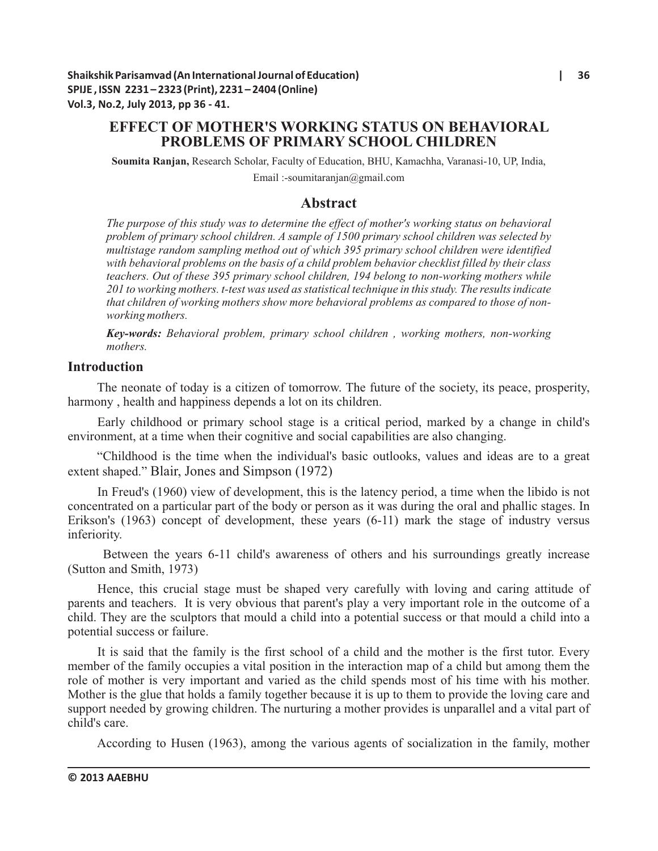# **EFFECT OF MOTHER'S WORKING STATUS ON BEHAVIORAL PROBLEMS OF PRIMARY SCHOOL CHILDREN**

**Soumita Ranjan,** Research Scholar, Faculty of Education, BHU, Kamachha, Varanasi-10, UP, India,

Email :-soumitaranjan@gmail.com

## **Abstract**

*The purpose of this study was to determine the effect of mother's working status on behavioral problem of primary school children. A sample of 1500 primary school children was selected by multistage random sampling method out of which 395 primary school children were identified with behavioral problems on the basis of a child problem behavior checklist filled by their class teachers. Out of these 395 primary school children, 194 belong to non-working mothers while 201 to working mothers. t-test was used as statistical technique in this study. The results indicate that children of working mothers show more behavioral problems as compared to those of nonworking mothers.*

*Key-words: Behavioral problem, primary school children , working mothers, non-working mothers.*

### **Introduction**

The neonate of today is a citizen of tomorrow. The future of the society, its peace, prosperity, harmony , health and happiness depends a lot on its children.

Early childhood or primary school stage is a critical period, marked by a change in child's environment, at a time when their cognitive and social capabilities are also changing.

"Childhood is the time when the individual's basic outlooks, values and ideas are to a great extent shaped." Blair, Jones and Simpson (1972)

In Freud's (1960) view of development, this is the latency period, a time when the libido is not concentrated on a particular part of the body or person as it was during the oral and phallic stages. In Erikson's (1963) concept of development, these years (6-11) mark the stage of industry versus inferiority.

Between the years 6-11 child's awareness of others and his surroundings greatly increase (Sutton and Smith, 1973)

Hence, this crucial stage must be shaped very carefully with loving and caring attitude of parents and teachers. It is very obvious that parent's play a very important role in the outcome of a child. They are the sculptors that mould a child into a potential success or that mould a child into a potential success or failure.

It is said that the family is the first school of a child and the mother is the first tutor. Every member of the family occupies a vital position in the interaction map of a child but among them the role of mother is very important and varied as the child spends most of his time with his mother. Mother is the glue that holds a family together because it is up to them to provide the loving care and support needed by growing children. The nurturing a mother provides is unparallel and a vital part of child's care.

According to Husen (1963), among the various agents of socialization in the family, mother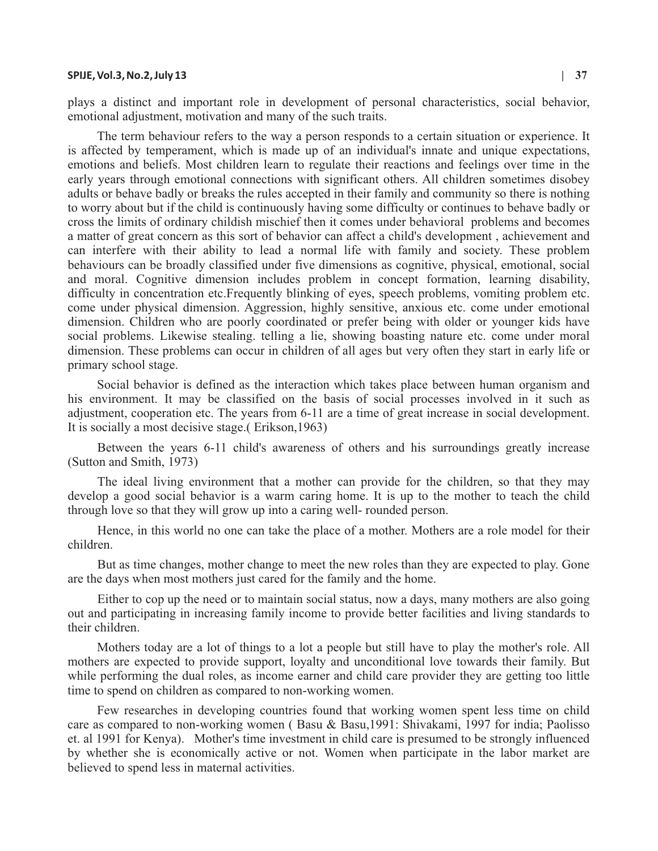#### **SPIJE, Vol.3, No.2, July 13 | 37**

plays a distinct and important role in development of personal characteristics, social behavior, emotional adjustment, motivation and many of the such traits.

The term behaviour refers to the way a person responds to a certain situation or experience. It is affected by temperament, which is made up of an individual's innate and unique expectations, emotions and beliefs. Most children learn to regulate their reactions and feelings over time in the early years through emotional connections with significant others. All children sometimes disobey adults or behave badly or breaks the rules accepted in their family and community so there is nothing to worry about but if the child is continuously having some difficulty or continues to behave badly or cross the limits of ordinary childish mischief then it comes under behavioral problems and becomes a matter of great concern as this sort of behavior can affect a child's development , achievement and can interfere with their ability to lead a normal life with family and society. These problem behaviours can be broadly classified under five dimensions as cognitive, physical, emotional, social and moral. Cognitive dimension includes problem in concept formation, learning disability, difficulty in concentration etc.Frequently blinking of eyes, speech problems, vomiting problem etc. come under physical dimension. Aggression, highly sensitive, anxious etc. come under emotional dimension. Children who are poorly coordinated or prefer being with older or younger kids have social problems. Likewise stealing. telling a lie, showing boasting nature etc. come under moral dimension. These problems can occur in children of all ages but very often they start in early life or primary school stage.

Social behavior is defined as the interaction which takes place between human organism and his environment. It may be classified on the basis of social processes involved in it such as adjustment, cooperation etc. The years from 6-11 are a time of great increase in social development. It is socially a most decisive stage.( Erikson,1963)

Between the years 6-11 child's awareness of others and his surroundings greatly increase (Sutton and Smith, 1973)

The ideal living environment that a mother can provide for the children, so that they may develop a good social behavior is a warm caring home. It is up to the mother to teach the child through love so that they will grow up into a caring well- rounded person.

Hence, in this world no one can take the place of a mother. Mothers are a role model for their children.

But as time changes, mother change to meet the new roles than they are expected to play. Gone are the days when most mothers just cared for the family and the home.

Either to cop up the need or to maintain social status, now a days, many mothers are also going out and participating in increasing family income to provide better facilities and living standards to their children.

Mothers today are a lot of things to a lot a people but still have to play the mother's role. All mothers are expected to provide support, loyalty and unconditional love towards their family. But while performing the dual roles, as income earner and child care provider they are getting too little time to spend on children as compared to non-working women.

Few researches in developing countries found that working women spent less time on child care as compared to non-working women ( Basu & Basu,1991: Shivakami, 1997 for india; Paolisso et. al 1991 for Kenya). Mother's time investment in child care is presumed to be strongly influenced by whether she is economically active or not. Women when participate in the labor market are believed to spend less in maternal activities.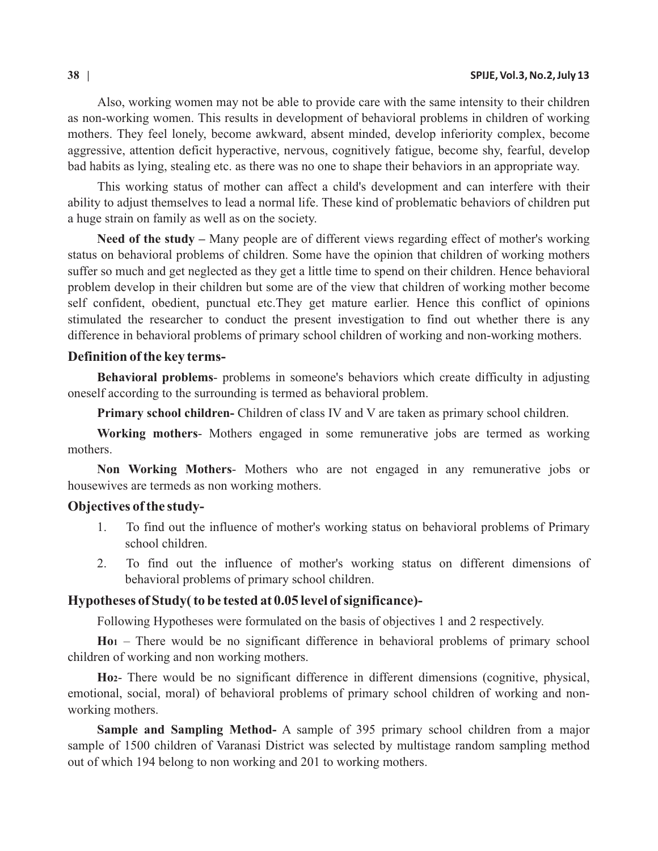Also, working women may not be able to provide care with the same intensity to their children as non-working women. This results in development of behavioral problems in children of working mothers. They feel lonely, become awkward, absent minded, develop inferiority complex, become aggressive, attention deficit hyperactive, nervous, cognitively fatigue, become shy, fearful, develop bad habits as lying, stealing etc. as there was no one to shape their behaviors in an appropriate way.

This working status of mother can affect a child's development and can interfere with their ability to adjust themselves to lead a normal life. These kind of problematic behaviors of children put a huge strain on family as well as on the society.

**Need of the study –** Many people are of different views regarding effect of mother's working status on behavioral problems of children. Some have the opinion that children of working mothers suffer so much and get neglected as they get a little time to spend on their children. Hence behavioral problem develop in their children but some are of the view that children of working mother become self confident, obedient, punctual etc.They get mature earlier. Hence this conflict of opinions stimulated the researcher to conduct the present investigation to find out whether there is any difference in behavioral problems of primary school children of working and non-working mothers.

### **Definition of the key terms-**

**Behavioral problems**- problems in someone's behaviors which create difficulty in adjusting oneself according to the surrounding is termed as behavioral problem.

**Primary school children-** Children of class IV and V are taken as primary school children.

**Working mothers**- Mothers engaged in some remunerative jobs are termed as working mothers.

**Non Working Mothers**- Mothers who are not engaged in any remunerative jobs or housewives are termeds as non working mothers.

#### **Objectives of the study-**

- 1. To find out the influence of mother's working status on behavioral problems of Primary school children.
- 2. To find out the influence of mother's working status on different dimensions of behavioral problems of primary school children.

#### **Hypotheses of Study( to be tested at 0.05 level of significance)-**

Following Hypotheses were formulated on the basis of objectives 1 and 2 respectively.

**Ho<sup>1</sup>** – There would be no significant difference in behavioral problems of primary school children of working and non working mothers.

**Ho2**- There would be no significant difference in different dimensions (cognitive, physical, emotional, social, moral) of behavioral problems of primary school children of working and nonworking mothers.

**Sample and Sampling Method-** A sample of 395 primary school children from a major sample of 1500 children of Varanasi District was selected by multistage random sampling method out of which 194 belong to non working and 201 to working mothers.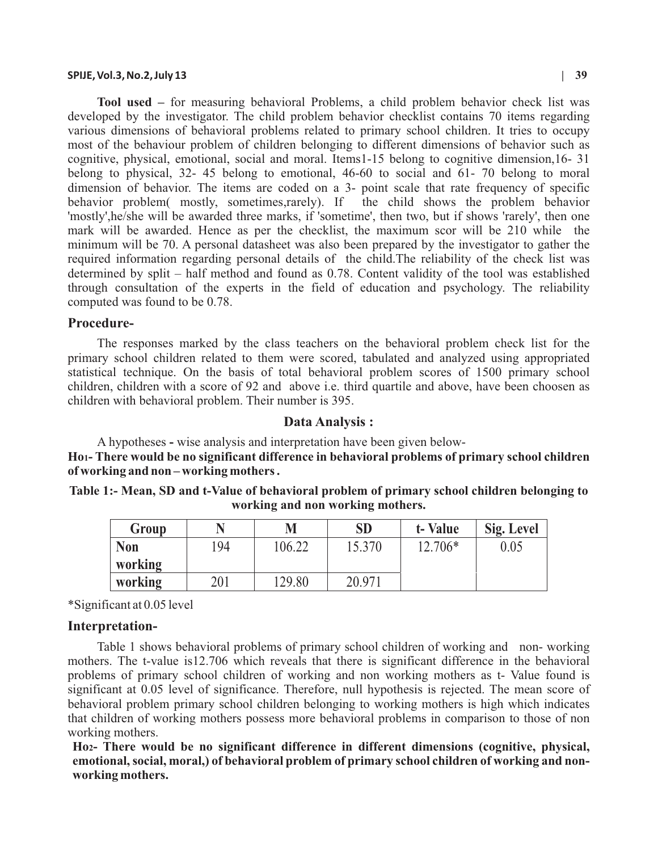#### **SPIJE, Vol.3, No.2, July 13 | 39**

**Tool used –** for measuring behavioral Problems, a child problem behavior check list was developed by the investigator. The child problem behavior checklist contains 70 items regarding various dimensions of behavioral problems related to primary school children. It tries to occupy most of the behaviour problem of children belonging to different dimensions of behavior such as cognitive, physical, emotional, social and moral. Items1-15 belong to cognitive dimension,16- 31 belong to physical, 32- 45 belong to emotional, 46-60 to social and 61- 70 belong to moral dimension of behavior. The items are coded on a 3- point scale that rate frequency of specific behavior problem( mostly, sometimes,rarely). If the child shows the problem behavior 'mostly',he/she will be awarded three marks, if 'sometime', then two, but if shows 'rarely', then one mark will be awarded. Hence as per the checklist, the maximum scor will be 210 while the minimum will be 70. A personal datasheet was also been prepared by the investigator to gather the required information regarding personal details of the child.The reliability of the check list was determined by split – half method and found as 0.78. Content validity of the tool was established through consultation of the experts in the field of education and psychology. The reliability computed was found to be 0.78.

#### **Procedure-**

The responses marked by the class teachers on the behavioral problem check list for the primary school children related to them were scored, tabulated and analyzed using appropriated statistical technique. On the basis of total behavioral problem scores of 1500 primary school children, children with a score of 92 and above i.e. third quartile and above, have been choosen as children with behavioral problem. Their number is 395.

#### **Data Analysis :**

A hypotheses **-** wise analysis and interpretation have been given below-**Ho1- There would be no significant difference in behavioral problems of primary school children of working and non – working mothers .** 

| Table 1:- Mean, SD and t-Value of behavioral problem of primary school children belonging to |
|----------------------------------------------------------------------------------------------|
| working and non working mothers.                                                             |

| Group      |     | M      | SD     | t-Value | Sig. Level |
|------------|-----|--------|--------|---------|------------|
| <b>Non</b> | 194 | 106.22 | 15.370 | 12.706* | 0.05       |
| working    |     |        |        |         |            |
| working    | 201 | 129.80 | 20.971 |         |            |

\*Significant at 0.05 level

#### **Interpretation-**

Table 1 shows behavioral problems of primary school children of working and non- working mothers. The t-value is12.706 which reveals that there is significant difference in the behavioral problems of primary school children of working and non working mothers as t- Value found is significant at 0.05 level of significance. Therefore, null hypothesis is rejected. The mean score of behavioral problem primary school children belonging to working mothers is high which indicates that children of working mothers possess more behavioral problems in comparison to those of non working mothers.

**Ho2- There would be no significant difference in different dimensions (cognitive, physical, emotional, social, moral,) of behavioral problem of primary school children of working and nonworking mothers.**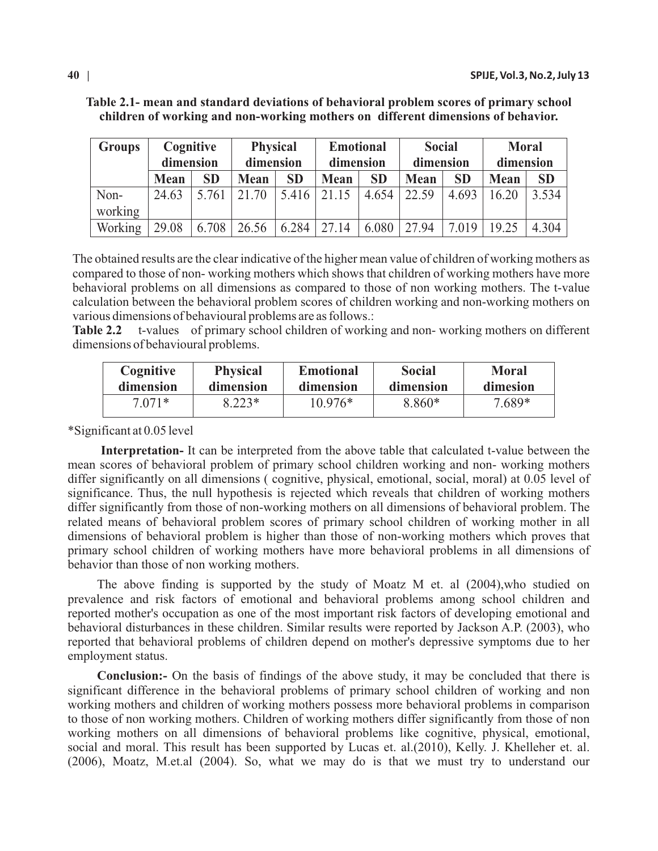| <b>Groups</b> | Cognitive   |           |             | <b>Physical</b><br><b>Emotional</b> |             |           | <b>Social</b> |           | <b>Moral</b> |           |
|---------------|-------------|-----------|-------------|-------------------------------------|-------------|-----------|---------------|-----------|--------------|-----------|
|               | dimension   |           | dimension   |                                     | dimension   |           | dimension     |           | dimension    |           |
|               | <b>Mean</b> | <b>SD</b> | <b>Mean</b> | <b>SD</b>                           | <b>Mean</b> | <b>SD</b> | <b>Mean</b>   | <b>SD</b> | <b>Mean</b>  | <b>SD</b> |
| Non-          | 24.63       | 5.761     | 21.70       | 5.416                               | 21.15       | 4.654     | 22.59         | 4.693     | 16.20        | 3.534     |
| working       |             |           |             |                                     |             |           |               |           |              |           |
| Working       | 29.08       | 6.708     | 26.56       | 6.284                               | 27.14       | 6.080     | 27.94         | 7.019     | 19.25        | 4.304     |

**Table 2.1- mean and standard deviations of behavioral problem scores of primary school children of working and non-working mothers on different dimensions of behavior.**

The obtained results are the clear indicative of the higher mean value of children of working mothers as compared to those of non- working mothers which shows that children of working mothers have more behavioral problems on all dimensions as compared to those of non working mothers. The t-value calculation between the behavioral problem scores of children working and non-working mothers on various dimensions of behavioural problems are as follows.:

**Table 2.2** t-values of primary school children of working and non- working mothers on different dimensions of behavioural problems.

| Cognitive | <b>Physical</b> | <b>Emotional</b> | <b>Social</b> | <b>Moral</b> |
|-----------|-----------------|------------------|---------------|--------------|
| dimension | dimension       | dimension        | dimension     | dimesion     |
| $7.071*$  | $8.223*$        | $10.976*$        | 8.860*        | 7.689*       |

\*Significant at 0.05 level

**Interpretation-** It can be interpreted from the above table that calculated t-value between the mean scores of behavioral problem of primary school children working and non- working mothers differ significantly on all dimensions ( cognitive, physical, emotional, social, moral) at 0.05 level of significance. Thus, the null hypothesis is rejected which reveals that children of working mothers differ significantly from those of non-working mothers on all dimensions of behavioral problem. The related means of behavioral problem scores of primary school children of working mother in all dimensions of behavioral problem is higher than those of non-working mothers which proves that primary school children of working mothers have more behavioral problems in all dimensions of behavior than those of non working mothers.

The above finding is supported by the study of Moatz M et. al (2004),who studied on prevalence and risk factors of emotional and behavioral problems among school children and reported mother's occupation as one of the most important risk factors of developing emotional and behavioral disturbances in these children. Similar results were reported by Jackson A.P. (2003), who reported that behavioral problems of children depend on mother's depressive symptoms due to her employment status.

**Conclusion:-** On the basis of findings of the above study, it may be concluded that there is significant difference in the behavioral problems of primary school children of working and non working mothers and children of working mothers possess more behavioral problems in comparison to those of non working mothers. Children of working mothers differ significantly from those of non working mothers on all dimensions of behavioral problems like cognitive, physical, emotional, social and moral. This result has been supported by Lucas et. al.(2010), Kelly. J. Khelleher et. al. (2006), Moatz, M.et.al (2004). So, what we may do is that we must try to understand our